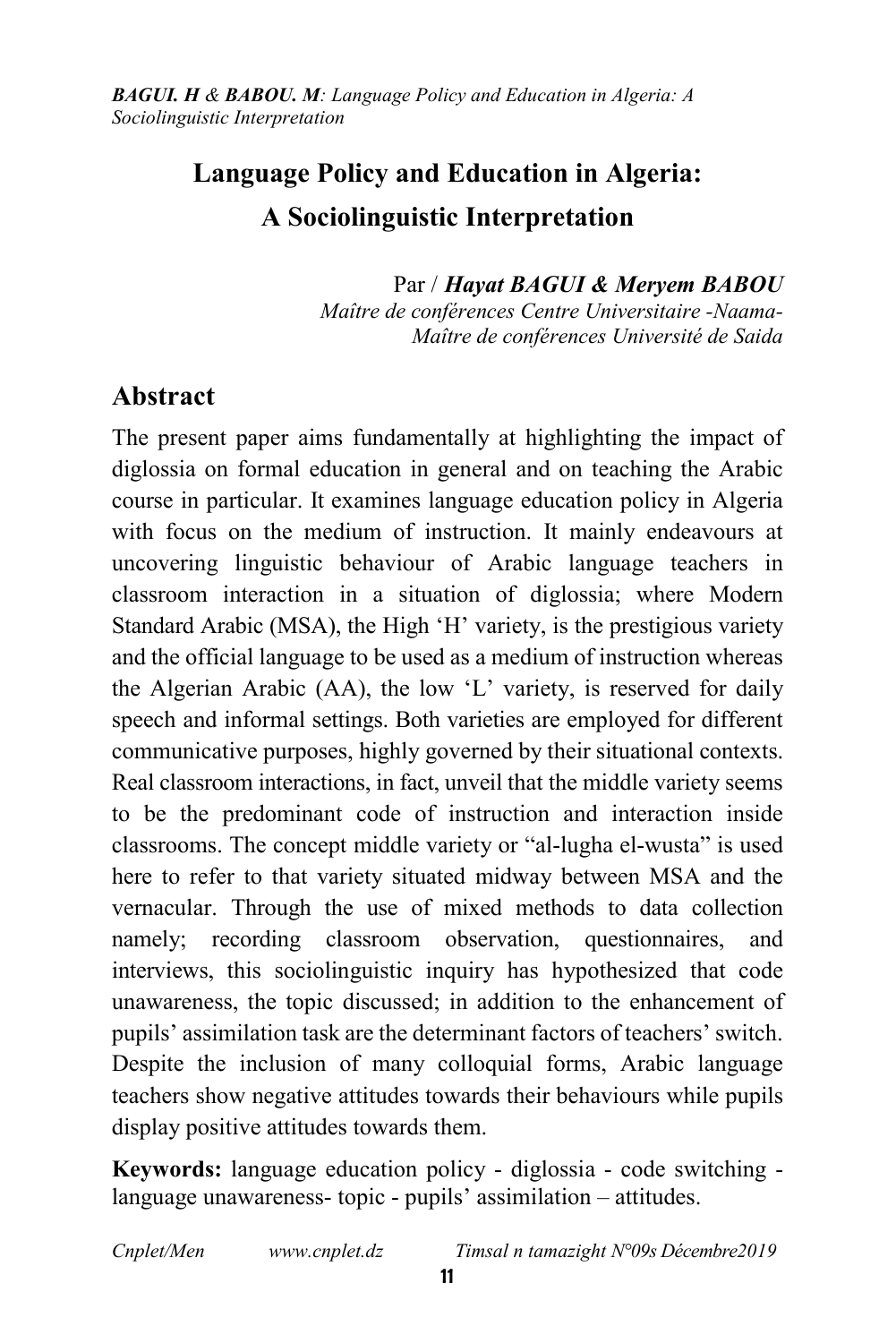# Language Policy and Education in Algeria: A Sociolinguistic Interpretation

 Par / *Hayat BAGUI & Meryem BABOU Maître de conférences Centre Universitaire -Naama-Maître de conférences Université de Saida* 

# Abstract

The present paper aims fundamentally at highlighting the impact of diglossia on formal education in general and on teaching the Arabic course in particular. It examines language education policy in Algeria with focus on the medium of instruction. It mainly endeavours at uncovering linguistic behaviour of Arabic language teachers in classroom interaction in a situation of diglossia; where Modern Standard Arabic (MSA), the High 'H' variety, is the prestigious variety and the official language to be used as a medium of instruction whereas the Algerian Arabic (AA), the low 'L' variety, is reserved for daily speech and informal settings. Both varieties are employed for different communicative purposes, highly governed by their situational contexts. Real classroom interactions, in fact, unveil that the middle variety seems to be the predominant code of instruction and interaction inside classrooms. The concept middle variety or "al-lugha el-wusta" is used here to refer to that variety situated midway between MSA and the vernacular. Through the use of mixed methods to data collection namely; recording classroom observation, questionnaires, and interviews, this sociolinguistic inquiry has hypothesized that code unawareness, the topic discussed; in addition to the enhancement of pupils' assimilation task are the determinant factors of teachers' switch. Despite the inclusion of many colloquial forms, Arabic language teachers show negative attitudes towards their behaviours while pupils display positive attitudes towards them.

Keywords: language education policy - diglossia - code switching language unawareness- topic - pupils' assimilation – attitudes.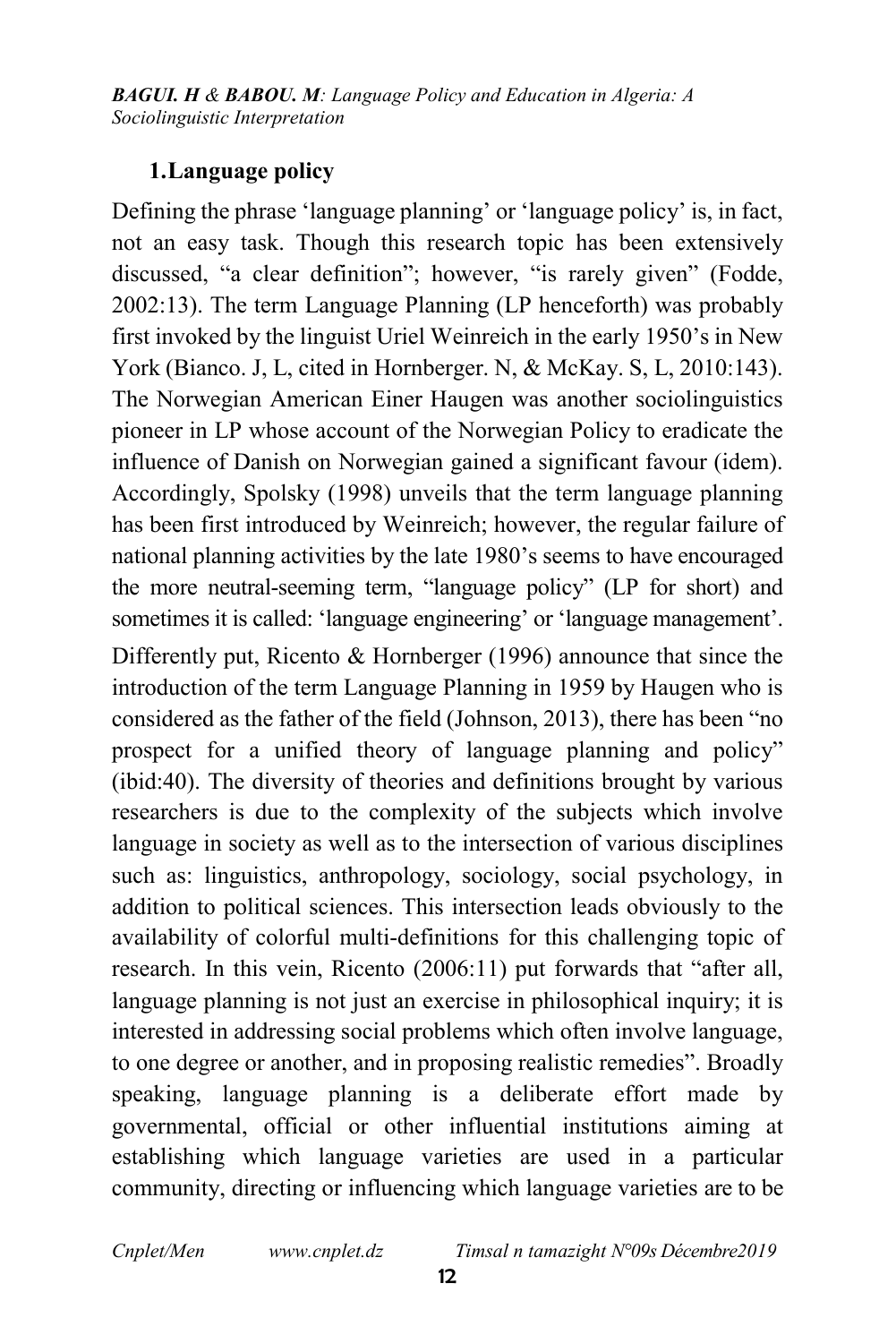#### 1.Language policy

Defining the phrase 'language planning' or 'language policy' is, in fact, not an easy task. Though this research topic has been extensively discussed, "a clear definition"; however, "is rarely given" (Fodde, 2002:13). The term Language Planning (LP henceforth) was probably first invoked by the linguist Uriel Weinreich in the early 1950's in New York (Bianco. J, L, cited in Hornberger. N, & McKay. S, L, 2010:143). The Norwegian American Einer Haugen was another sociolinguistics pioneer in LP whose account of the Norwegian Policy to eradicate the influence of Danish on Norwegian gained a significant favour (idem). Accordingly, Spolsky (1998) unveils that the term language planning has been first introduced by Weinreich; however, the regular failure of national planning activities by the late 1980's seems to have encouraged the more neutral-seeming term, "language policy" (LP for short) and sometimes it is called: 'language engineering' or 'language management'.

Differently put, Ricento & Hornberger (1996) announce that since the introduction of the term Language Planning in 1959 by Haugen who is considered as the father of the field (Johnson, 2013), there has been "no prospect for a unified theory of language planning and policy" (ibid:40). The diversity of theories and definitions brought by various researchers is due to the complexity of the subjects which involve language in society as well as to the intersection of various disciplines such as: linguistics, anthropology, sociology, social psychology, in addition to political sciences. This intersection leads obviously to the availability of colorful multi-definitions for this challenging topic of research. In this vein, Ricento (2006:11) put forwards that "after all, language planning is not just an exercise in philosophical inquiry; it is interested in addressing social problems which often involve language, to one degree or another, and in proposing realistic remedies". Broadly speaking, language planning is a deliberate effort made by governmental, official or other influential institutions aiming at establishing which language varieties are used in a particular community, directing or influencing which language varieties are to be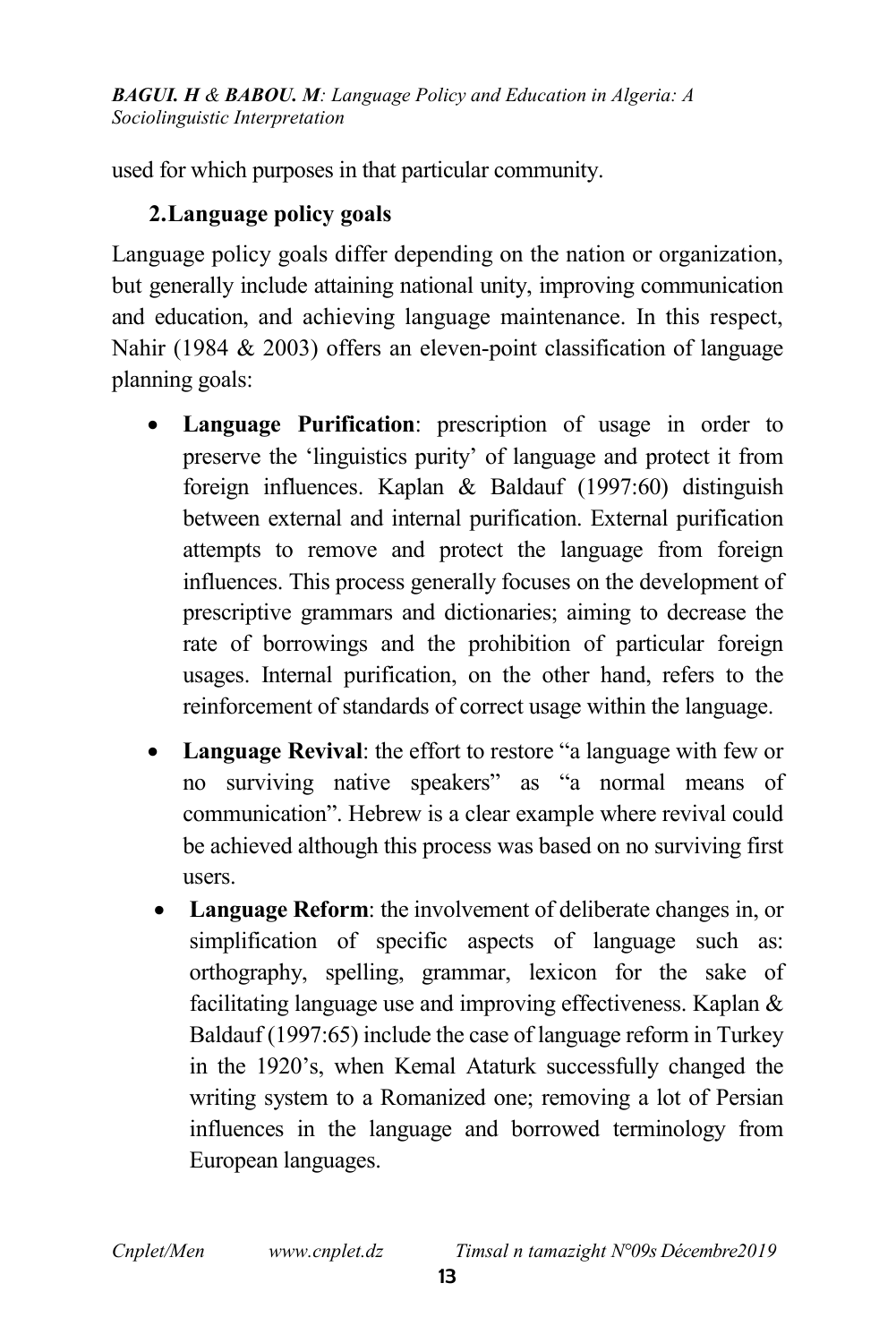used for which purposes in that particular community.

### 2.Language policy goals

Language policy goals differ depending on the nation or organization, but generally include attaining national unity, improving communication and education, and achieving language maintenance. In this respect, Nahir (1984 & 2003) offers an eleven-point classification of language planning goals:

- Language Purification: prescription of usage in order to preserve the 'linguistics purity' of language and protect it from foreign influences. Kaplan & Baldauf (1997:60) distinguish between external and internal purification. External purification attempts to remove and protect the language from foreign influences. This process generally focuses on the development of prescriptive grammars and dictionaries; aiming to decrease the rate of borrowings and the prohibition of particular foreign usages. Internal purification, on the other hand, refers to the reinforcement of standards of correct usage within the language.
- Language Revival: the effort to restore "a language with few or no surviving native speakers" as "a normal means of communication". Hebrew is a clear example where revival could be achieved although this process was based on no surviving first users.
- Language Reform: the involvement of deliberate changes in, or simplification of specific aspects of language such as: orthography, spelling, grammar, lexicon for the sake of facilitating language use and improving effectiveness. Kaplan & Baldauf (1997:65) include the case of language reform in Turkey in the 1920's, when Kemal Ataturk successfully changed the writing system to a Romanized one; removing a lot of Persian influences in the language and borrowed terminology from European languages.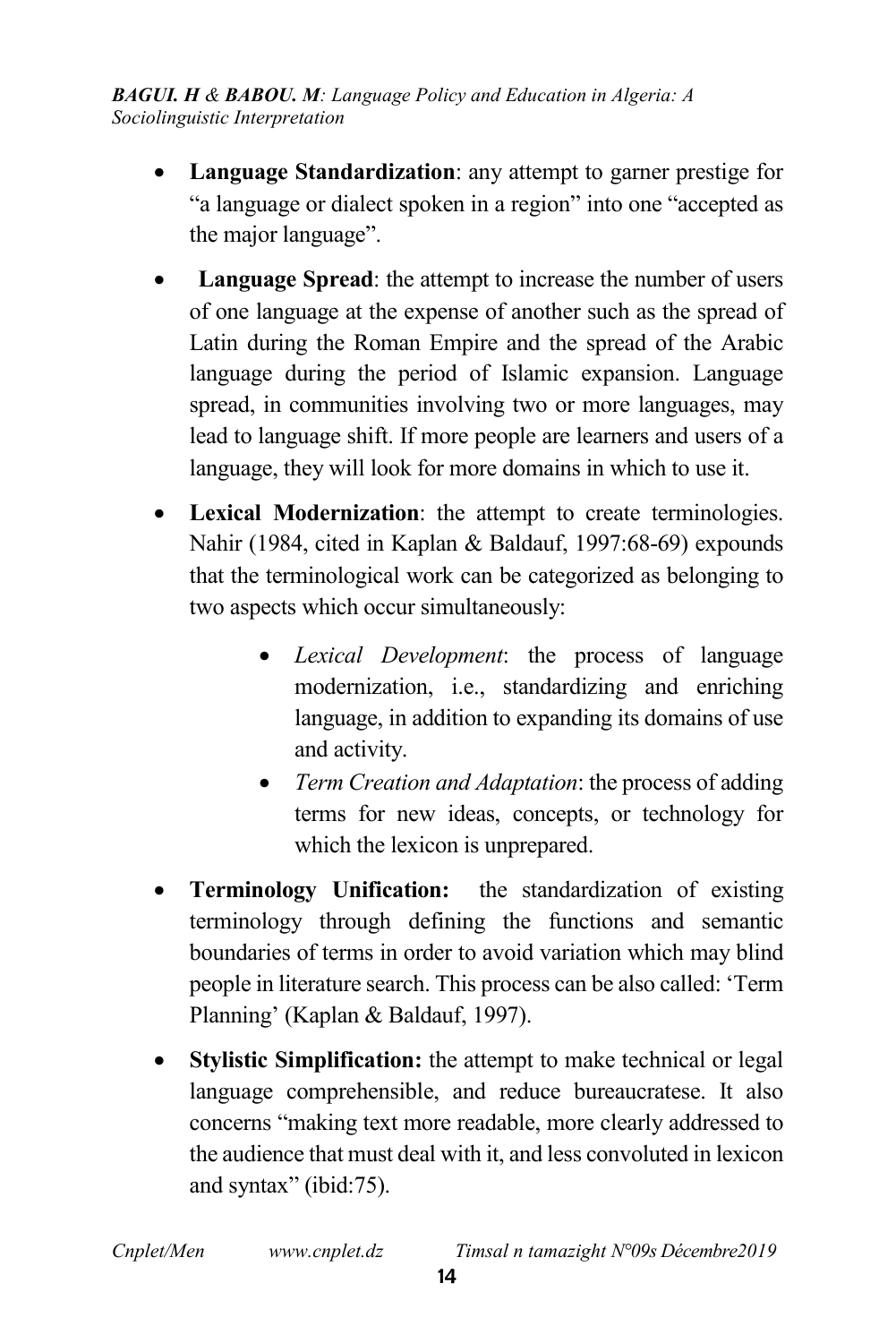- Language Standardization: any attempt to garner prestige for "a language or dialect spoken in a region" into one "accepted as the major language".
- Language Spread: the attempt to increase the number of users of one language at the expense of another such as the spread of Latin during the Roman Empire and the spread of the Arabic language during the period of Islamic expansion. Language spread, in communities involving two or more languages, may lead to language shift. If more people are learners and users of a language, they will look for more domains in which to use it.
- Lexical Modernization: the attempt to create terminologies. Nahir (1984, cited in Kaplan & Baldauf, 1997:68-69) expounds that the terminological work can be categorized as belonging to two aspects which occur simultaneously:
	- *Lexical Development*: the process of language modernization, i.e., standardizing and enriching language, in addition to expanding its domains of use and activity.
	- *Term Creation and Adaptation*: the process of adding terms for new ideas, concepts, or technology for which the lexicon is unprepared.
- Terminology Unification: the standardization of existing terminology through defining the functions and semantic boundaries of terms in order to avoid variation which may blind people in literature search. This process can be also called: 'Term Planning' (Kaplan & Baldauf, 1997).
- Stylistic Simplification: the attempt to make technical or legal language comprehensible, and reduce bureaucratese. It also concerns "making text more readable, more clearly addressed to the audience that must deal with it, and less convoluted in lexicon and syntax" (ibid:75).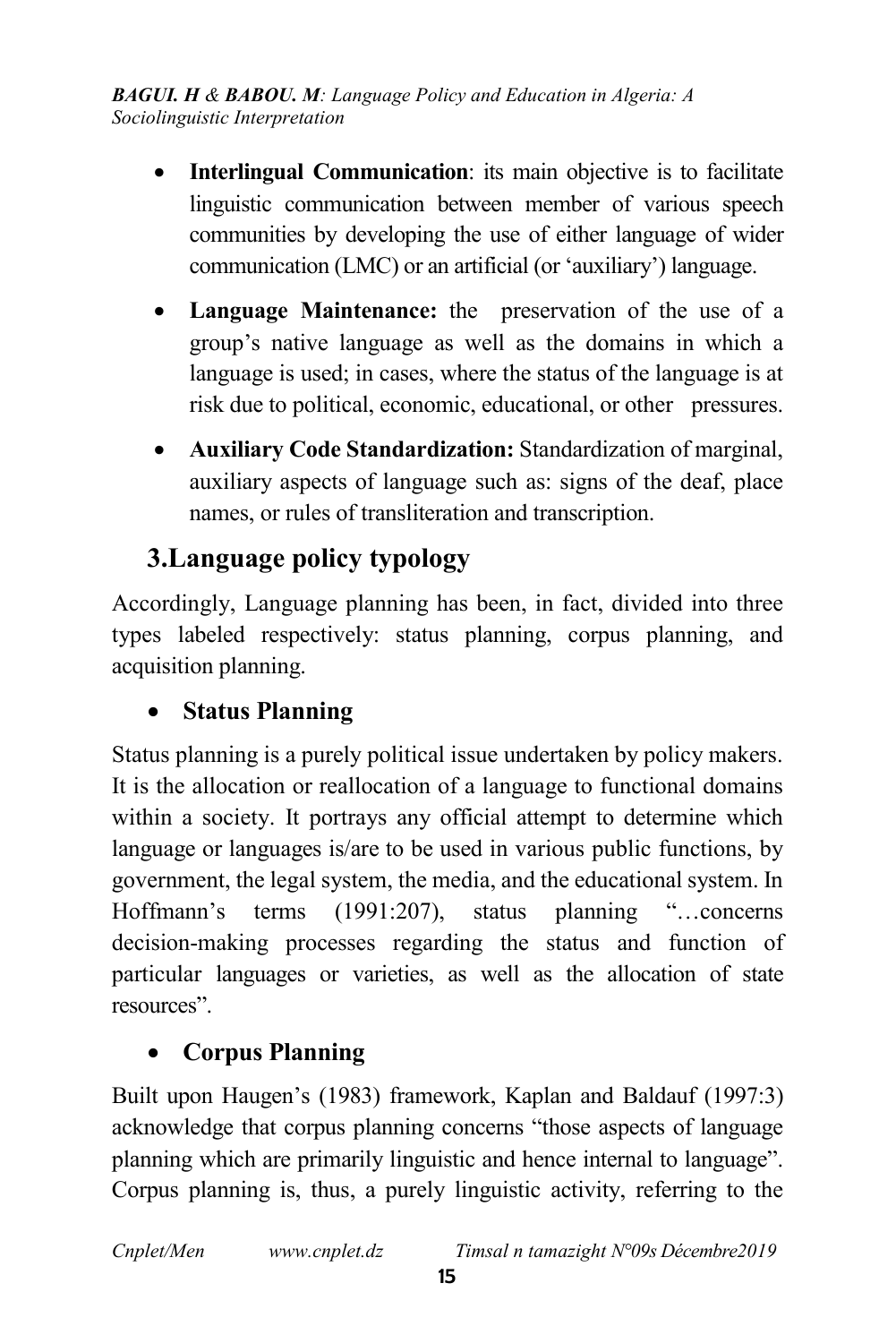- Interlingual Communication: its main objective is to facilitate linguistic communication between member of various speech communities by developing the use of either language of wider communication (LMC) or an artificial (or 'auxiliary') language.
- Language Maintenance: the preservation of the use of a group's native language as well as the domains in which a language is used; in cases, where the status of the language is at risk due to political, economic, educational, or other pressures.
- Auxiliary Code Standardization: Standardization of marginal, auxiliary aspects of language such as: signs of the deaf, place names, or rules of transliteration and transcription.

# 3.Language policy typology

Accordingly, Language planning has been, in fact, divided into three types labeled respectively: status planning, corpus planning, and acquisition planning.

## Status Planning

Status planning is a purely political issue undertaken by policy makers. It is the allocation or reallocation of a language to functional domains within a society. It portrays any official attempt to determine which language or languages is/are to be used in various public functions, by government, the legal system, the media, and the educational system. In Hoffmann's terms (1991:207), status planning "…concerns decision-making processes regarding the status and function of particular languages or varieties, as well as the allocation of state resources".

## Corpus Planning

Built upon Haugen's (1983) framework, Kaplan and Baldauf (1997:3) acknowledge that corpus planning concerns "those aspects of language planning which are primarily linguistic and hence internal to language". Corpus planning is, thus, a purely linguistic activity, referring to the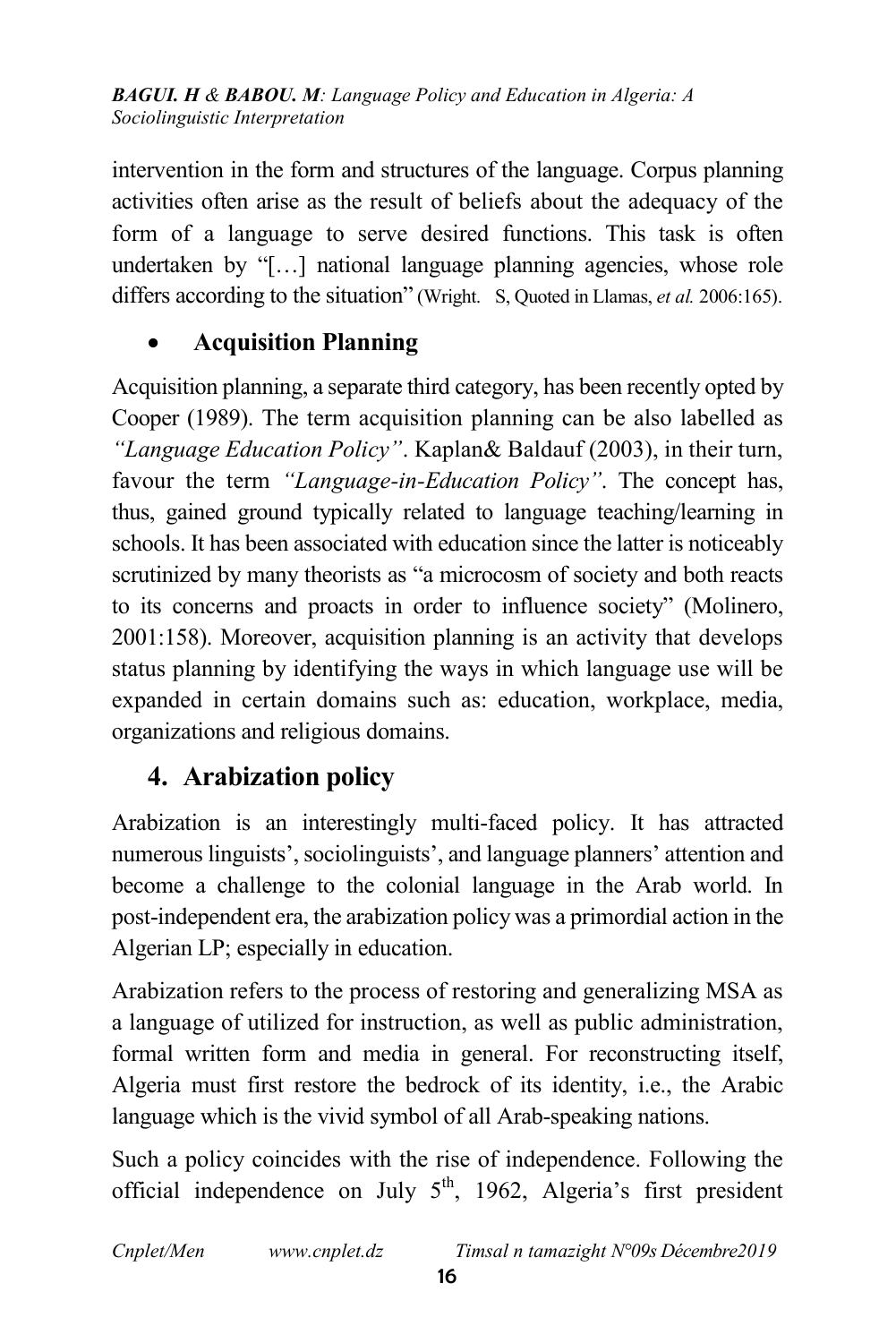intervention in the form and structures of the language. Corpus planning activities often arise as the result of beliefs about the adequacy of the form of a language to serve desired functions. This task is often undertaken by "[…] national language planning agencies, whose role differs according to the situation" (Wright. S, Quoted in Llamas, *et al.* 2006:165).

### Acquisition Planning

Acquisition planning, a separate third category, has been recently opted by Cooper (1989). The term acquisition planning can be also labelled as *"Language Education Policy"*. Kaplan& Baldauf (2003), in their turn, favour the term *"Language-in-Education Policy"*. The concept has, thus, gained ground typically related to language teaching/learning in schools. It has been associated with education since the latter is noticeably scrutinized by many theorists as "a microcosm of society and both reacts to its concerns and proacts in order to influence society" (Molinero, 2001:158). Moreover, acquisition planning is an activity that develops status planning by identifying the ways in which language use will be expanded in certain domains such as: education, workplace, media, organizations and religious domains.

## 4. Arabization policy

Arabization is an interestingly multi-faced policy. It has attracted numerous linguists', sociolinguists', and language planners' attention and become a challenge to the colonial language in the Arab world. In post-independent era, the arabization policy was a primordial action in the Algerian LP; especially in education.

Arabization refers to the process of restoring and generalizing MSA as a language of utilized for instruction, as well as public administration, formal written form and media in general. For reconstructing itself, Algeria must first restore the bedrock of its identity, i.e., the Arabic language which is the vivid symbol of all Arab-speaking nations.

Such a policy coincides with the rise of independence. Following the official independence on July  $5<sup>th</sup>$ , 1962, Algeria's first president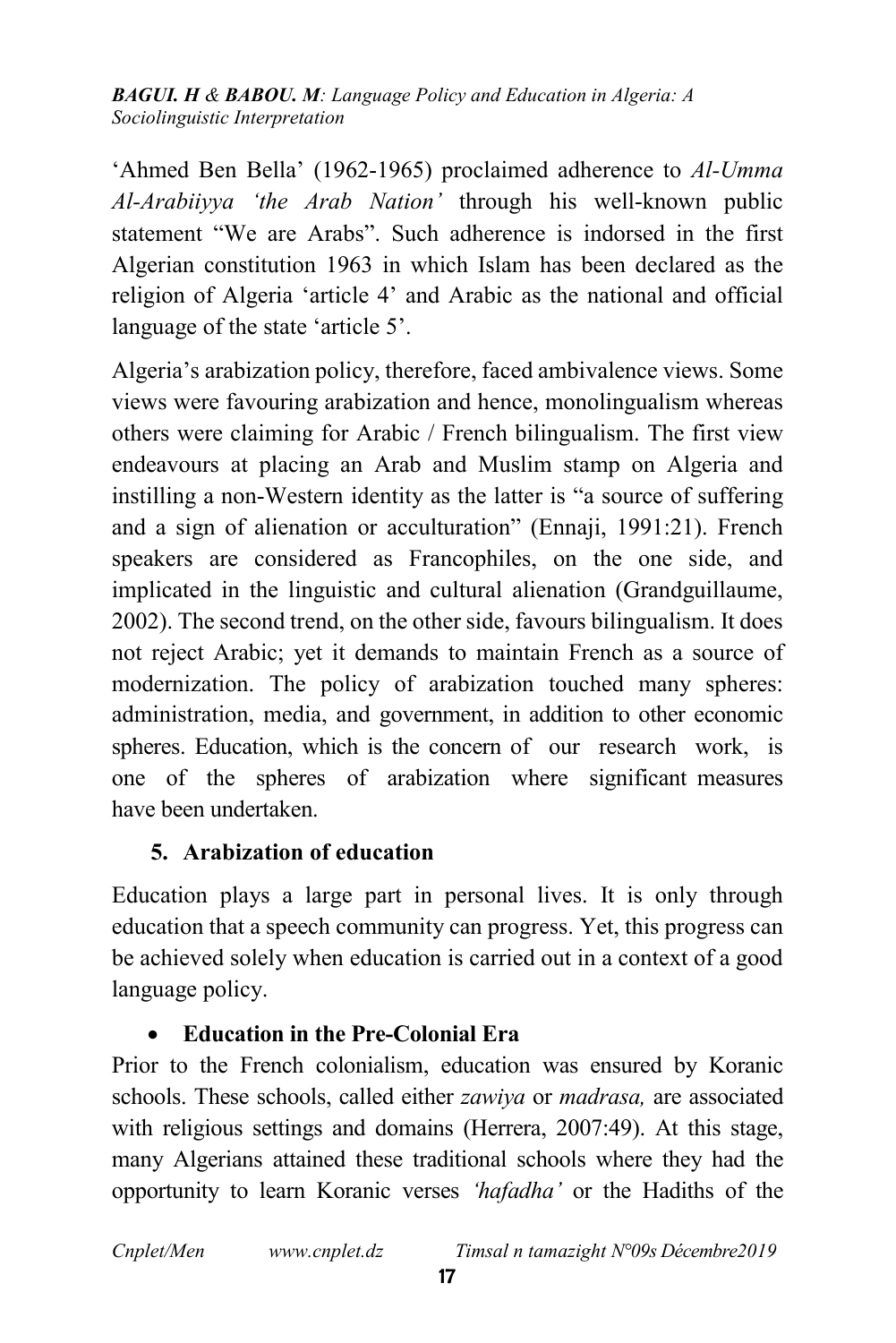'Ahmed Ben Bella' (1962-1965) proclaimed adherence to *Al-Umma Al-Arabiiyya 'the Arab Nation'* through his well-known public statement "We are Arabs". Such adherence is indorsed in the first Algerian constitution 1963 in which Islam has been declared as the religion of Algeria 'article 4' and Arabic as the national and official language of the state 'article 5'.

Algeria's arabization policy, therefore, faced ambivalence views. Some views were favouring arabization and hence, monolingualism whereas others were claiming for Arabic / French bilingualism. The first view endeavours at placing an Arab and Muslim stamp on Algeria and instilling a non-Western identity as the latter is "a source of suffering and a sign of alienation or acculturation" (Ennaji, 1991:21). French speakers are considered as Francophiles, on the one side, and implicated in the linguistic and cultural alienation (Grandguillaume, 2002). The second trend, on the other side, favours bilingualism. It does not reject Arabic; yet it demands to maintain French as a source of modernization. The policy of arabization touched many spheres: administration, media, and government, in addition to other economic spheres. Education, which is the concern of our research work, is one of the spheres of arabization where significant measures have been undertaken.

### 5. Arabization of education

Education plays a large part in personal lives. It is only through education that a speech community can progress. Yet, this progress can be achieved solely when education is carried out in a context of a good language policy.

### Education in the Pre-Colonial Era

Prior to the French colonialism, education was ensured by Koranic schools. These schools, called either *zawiya* or *madrasa,* are associated with religious settings and domains (Herrera, 2007:49). At this stage, many Algerians attained these traditional schools where they had the opportunity to learn Koranic verses *'hafadha'* or the Hadiths of the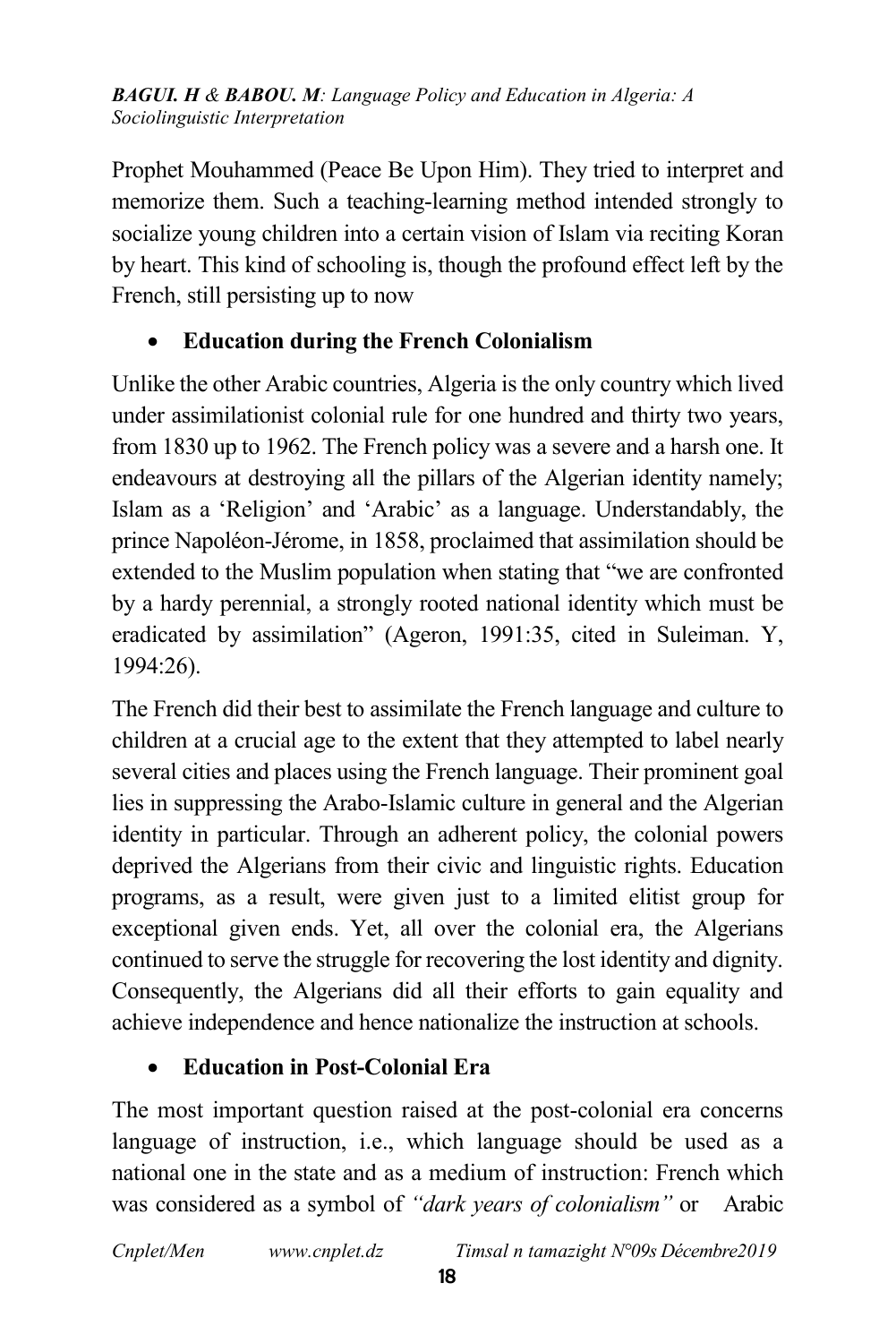Prophet Mouhammed (Peace Be Upon Him). They tried to interpret and memorize them. Such a teaching-learning method intended strongly to socialize young children into a certain vision of Islam via reciting Koran by heart. This kind of schooling is, though the profound effect left by the French, still persisting up to now

### Education during the French Colonialism

Unlike the other Arabic countries, Algeria is the only country which lived under assimilationist colonial rule for one hundred and thirty two years, from 1830 up to 1962. The French policy was a severe and a harsh one. It endeavours at destroying all the pillars of the Algerian identity namely; Islam as a 'Religion' and 'Arabic' as a language. Understandably, the prince Napoléon-Jérome, in 1858, proclaimed that assimilation should be extended to the Muslim population when stating that "we are confronted by a hardy perennial, a strongly rooted national identity which must be eradicated by assimilation" (Ageron, 1991:35, cited in Suleiman. Y, 1994:26).

The French did their best to assimilate the French language and culture to children at a crucial age to the extent that they attempted to label nearly several cities and places using the French language. Their prominent goal lies in suppressing the Arabo-Islamic culture in general and the Algerian identity in particular. Through an adherent policy, the colonial powers deprived the Algerians from their civic and linguistic rights. Education programs, as a result, were given just to a limited elitist group for exceptional given ends. Yet, all over the colonial era, the Algerians continued to serve the struggle for recovering the lost identity and dignity. Consequently, the Algerians did all their efforts to gain equality and achieve independence and hence nationalize the instruction at schools.

### Education in Post-Colonial Era

The most important question raised at the post-colonial era concerns language of instruction, i.e., which language should be used as a national one in the state and as a medium of instruction: French which was considered as a symbol of *"dark years of colonialism"* or Arabic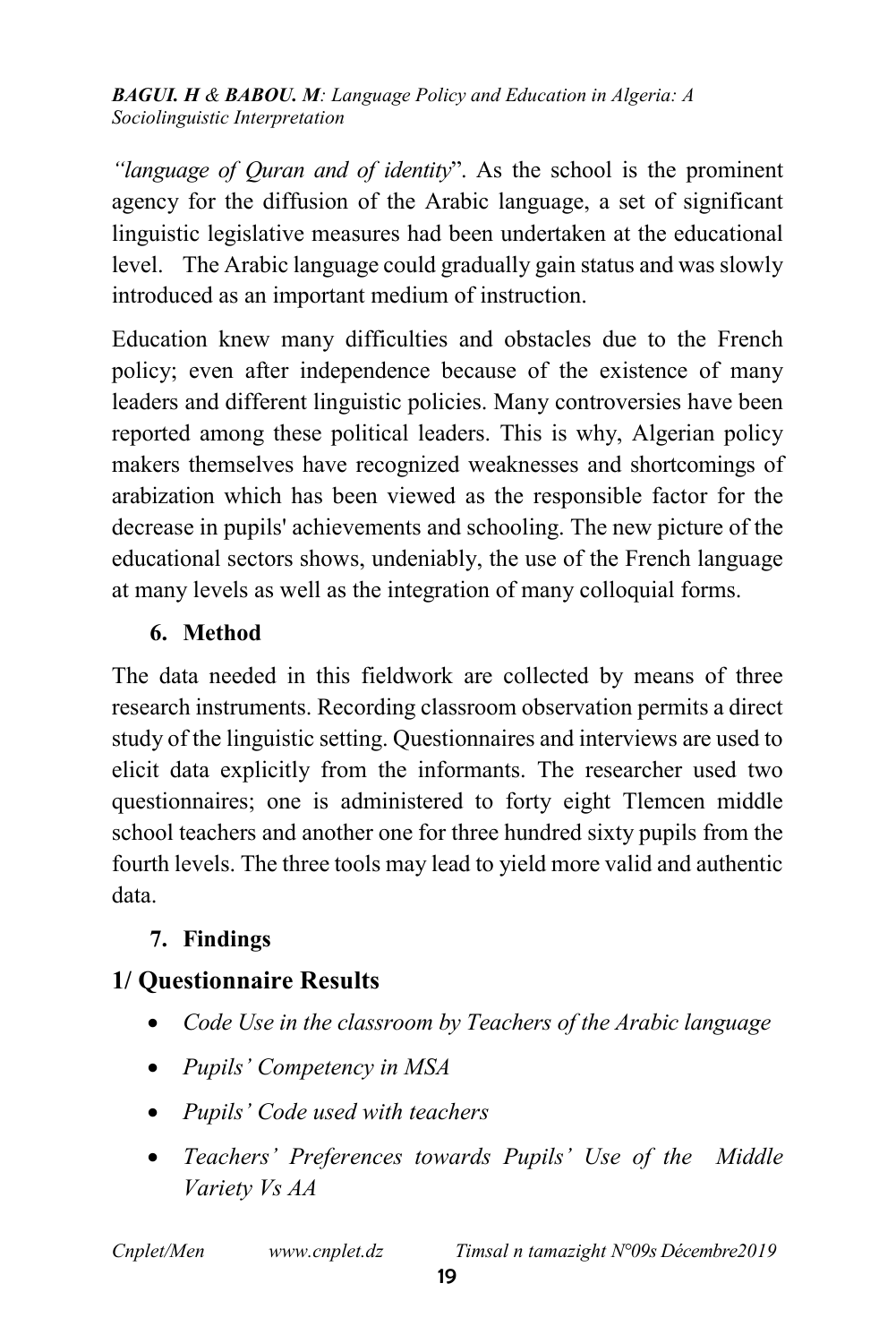*"language of Quran and of identity*". As the school is the prominent agency for the diffusion of the Arabic language, a set of significant linguistic legislative measures had been undertaken at the educational level. The Arabic language could gradually gain status and was slowly introduced as an important medium of instruction.

Education knew many difficulties and obstacles due to the French policy; even after independence because of the existence of many leaders and different linguistic policies. Many controversies have been reported among these political leaders. This is why, Algerian policy makers themselves have recognized weaknesses and shortcomings of arabization which has been viewed as the responsible factor for the decrease in pupils' achievements and schooling. The new picture of the educational sectors shows, undeniably, the use of the French language at many levels as well as the integration of many colloquial forms.

### 6. Method

The data needed in this fieldwork are collected by means of three research instruments. Recording classroom observation permits a direct study of the linguistic setting. Questionnaires and interviews are used to elicit data explicitly from the informants. The researcher used two questionnaires; one is administered to forty eight Tlemcen middle school teachers and another one for three hundred sixty pupils from the fourth levels. The three tools may lead to yield more valid and authentic data.

### 7. Findings

## 1/ Questionnaire Results

- *Code Use in the classroom by Teachers of the Arabic language*
- *Pupils' Competency in MSA*
- *Pupils' Code used with teachers*
- *Teachers' Preferences towards Pupils' Use of the Middle Variety Vs AA*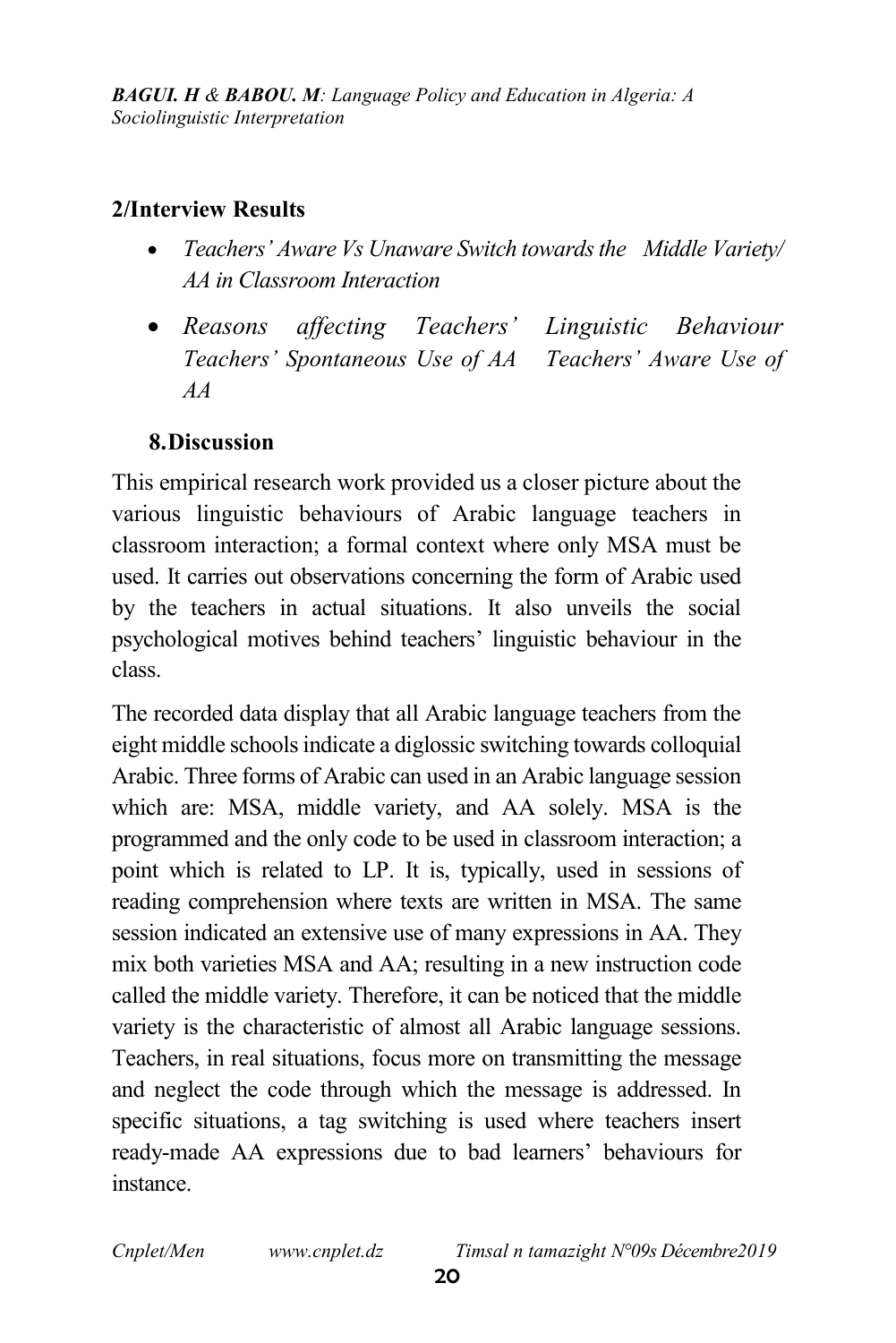#### 2/Interview Results

- *Teachers' Aware Vs Unaware Switch towards the Middle Variety/ AA in Classroom Interaction*
- *Reasons affecting Teachers' Linguistic Behaviour Teachers' Spontaneous Use of AA Teachers' Aware Use of AA*

### 8.Discussion

This empirical research work provided us a closer picture about the various linguistic behaviours of Arabic language teachers in classroom interaction; a formal context where only MSA must be used. It carries out observations concerning the form of Arabic used by the teachers in actual situations. It also unveils the social psychological motives behind teachers' linguistic behaviour in the class.

The recorded data display that all Arabic language teachers from the eight middle schools indicate a diglossic switching towards colloquial Arabic. Three forms of Arabic can used in an Arabic language session which are: MSA, middle variety, and AA solely. MSA is the programmed and the only code to be used in classroom interaction; a point which is related to LP. It is, typically, used in sessions of reading comprehension where texts are written in MSA. The same session indicated an extensive use of many expressions in AA. They mix both varieties MSA and AA; resulting in a new instruction code called the middle variety. Therefore, it can be noticed that the middle variety is the characteristic of almost all Arabic language sessions. Teachers, in real situations, focus more on transmitting the message and neglect the code through which the message is addressed. In specific situations, a tag switching is used where teachers insert ready-made AA expressions due to bad learners' behaviours for instance.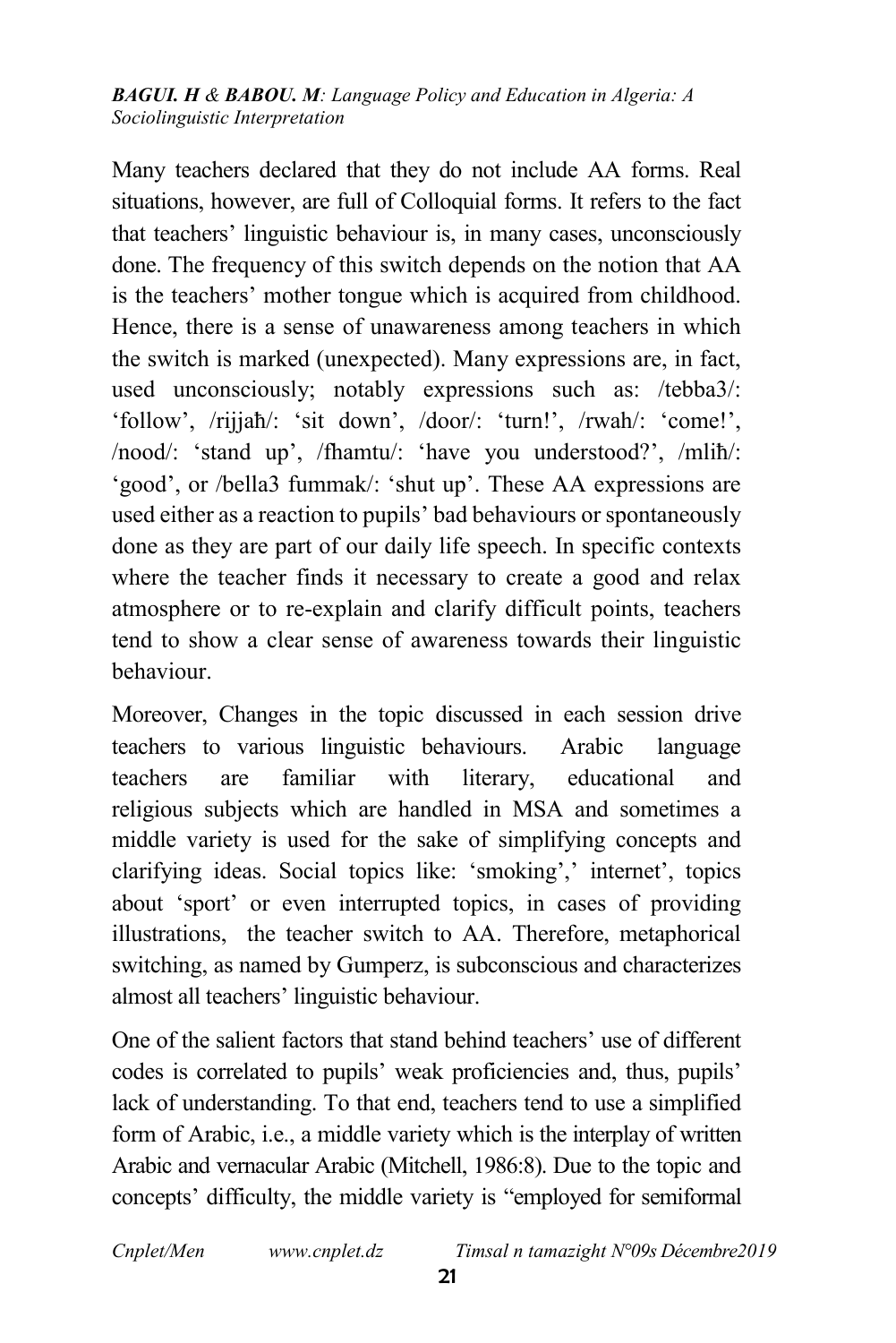Many teachers declared that they do not include AA forms. Real situations, however, are full of Colloquial forms. It refers to the fact that teachers' linguistic behaviour is, in many cases, unconsciously done. The frequency of this switch depends on the notion that AA is the teachers' mother tongue which is acquired from childhood. Hence, there is a sense of unawareness among teachers in which the switch is marked (unexpected). Many expressions are, in fact, used unconsciously; notably expressions such as: /tebba3/: 'follow', /rijjaħ/: 'sit down', /door/: 'turn!', /rwah/: 'come!', /nood/: 'stand up', /fhamtu/: 'have you understood?', /mliħ/: 'good', or /bella3 fummak/: 'shut up'. These AA expressions are used either as a reaction to pupils' bad behaviours or spontaneously done as they are part of our daily life speech. In specific contexts where the teacher finds it necessary to create a good and relax atmosphere or to re-explain and clarify difficult points, teachers tend to show a clear sense of awareness towards their linguistic behaviour.

Moreover, Changes in the topic discussed in each session drive teachers to various linguistic behaviours. Arabic language teachers are familiar with literary, educational and religious subjects which are handled in MSA and sometimes a middle variety is used for the sake of simplifying concepts and clarifying ideas. Social topics like: 'smoking',' internet', topics about 'sport' or even interrupted topics, in cases of providing illustrations, the teacher switch to AA. Therefore, metaphorical switching, as named by Gumperz, is subconscious and characterizes almost all teachers' linguistic behaviour.

One of the salient factors that stand behind teachers' use of different codes is correlated to pupils' weak proficiencies and, thus, pupils' lack of understanding. To that end, teachers tend to use a simplified form of Arabic, i.e., a middle variety which is the interplay of written Arabic and vernacular Arabic (Mitchell, 1986:8). Due to the topic and concepts' difficulty, the middle variety is "employed for semiformal

*Cnplet/Men www.cnplet.dz Timsal n tamazight N°09s Décembre2019*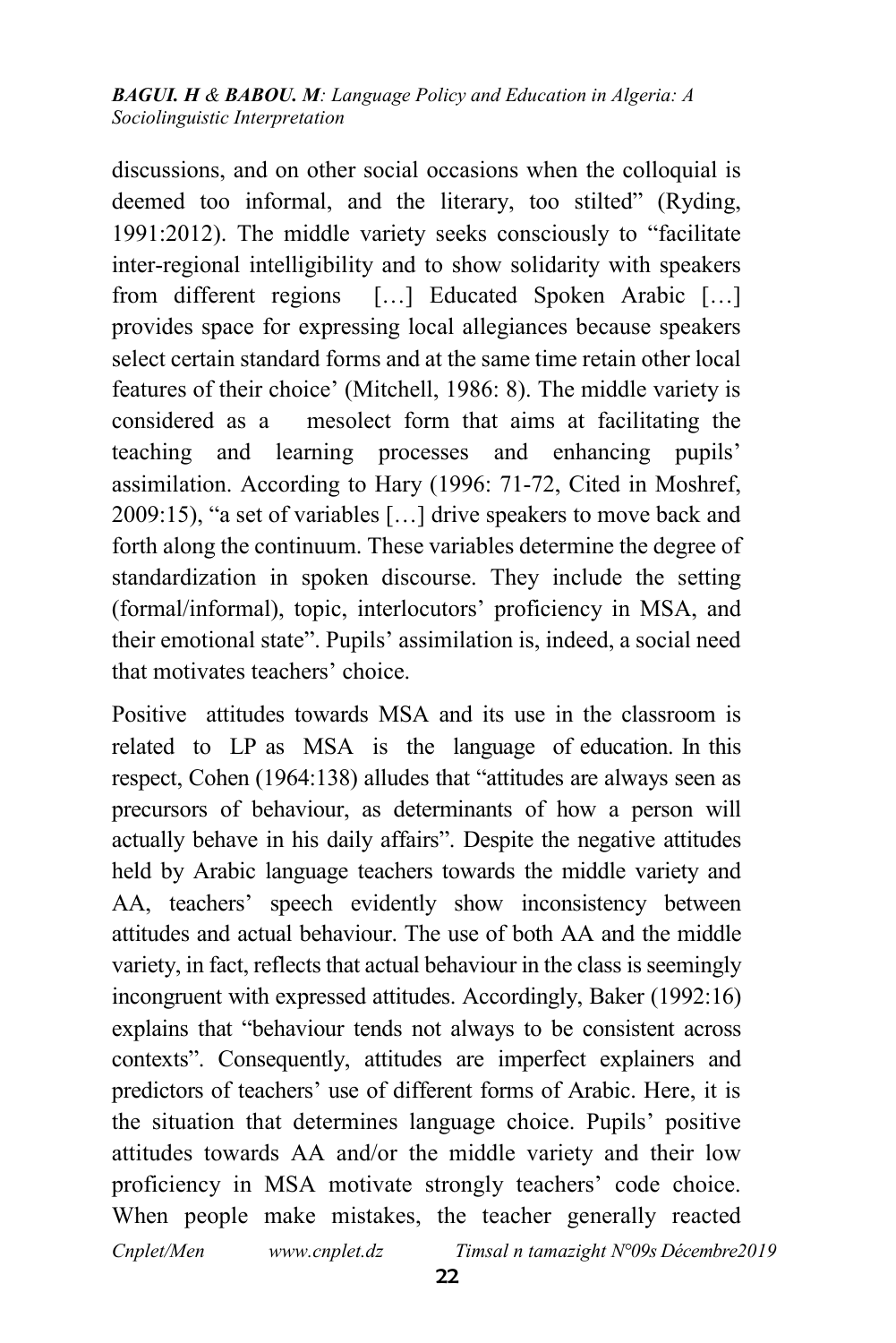discussions, and on other social occasions when the colloquial is deemed too informal, and the literary, too stilted" (Ryding, 1991:2012). The middle variety seeks consciously to "facilitate inter-regional intelligibility and to show solidarity with speakers from different regions […] Educated Spoken Arabic […] provides space for expressing local allegiances because speakers select certain standard forms and at the same time retain other local features of their choice' (Mitchell, 1986: 8). The middle variety is considered as a mesolect form that aims at facilitating the teaching and learning processes and enhancing pupils' assimilation. According to Hary (1996: 71-72, Cited in Moshref, 2009:15), "a set of variables […] drive speakers to move back and forth along the continuum. These variables determine the degree of standardization in spoken discourse. They include the setting (formal/informal), topic, interlocutors' proficiency in MSA, and their emotional state". Pupils' assimilation is, indeed, a social need that motivates teachers' choice.

*Cnplet/Men www.cnplet.dz Timsal n tamazight N°09s Décembre2019* Positive attitudes towards MSA and its use in the classroom is related to LP as MSA is the language of education. In this respect, Cohen (1964:138) alludes that "attitudes are always seen as precursors of behaviour, as determinants of how a person will actually behave in his daily affairs". Despite the negative attitudes held by Arabic language teachers towards the middle variety and AA, teachers' speech evidently show inconsistency between attitudes and actual behaviour. The use of both AA and the middle variety, in fact, reflects that actual behaviour in the class is seemingly incongruent with expressed attitudes. Accordingly, Baker (1992:16) explains that "behaviour tends not always to be consistent across contexts". Consequently, attitudes are imperfect explainers and predictors of teachers' use of different forms of Arabic. Here, it is the situation that determines language choice. Pupils' positive attitudes towards AA and/or the middle variety and their low proficiency in MSA motivate strongly teachers' code choice. When people make mistakes, the teacher generally reacted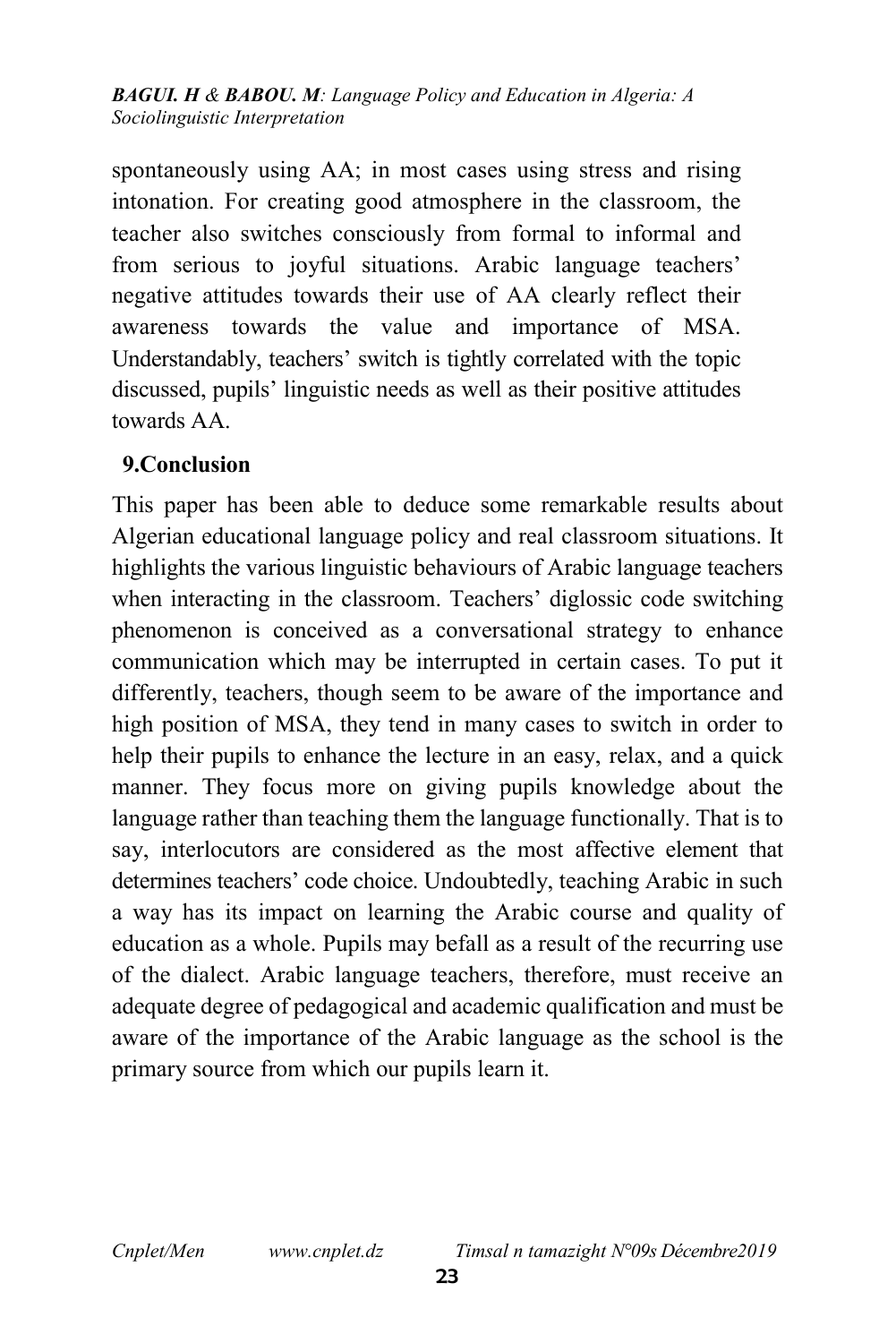spontaneously using AA; in most cases using stress and rising intonation. For creating good atmosphere in the classroom, the teacher also switches consciously from formal to informal and from serious to joyful situations. Arabic language teachers' negative attitudes towards their use of AA clearly reflect their awareness towards the value and importance of MSA. Understandably, teachers' switch is tightly correlated with the topic discussed, pupils' linguistic needs as well as their positive attitudes towards AA.

#### 9.Conclusion

This paper has been able to deduce some remarkable results about Algerian educational language policy and real classroom situations. It highlights the various linguistic behaviours of Arabic language teachers when interacting in the classroom. Teachers' diglossic code switching phenomenon is conceived as a conversational strategy to enhance communication which may be interrupted in certain cases. To put it differently, teachers, though seem to be aware of the importance and high position of MSA, they tend in many cases to switch in order to help their pupils to enhance the lecture in an easy, relax, and a quick manner. They focus more on giving pupils knowledge about the language rather than teaching them the language functionally. That is to say, interlocutors are considered as the most affective element that determines teachers' code choice. Undoubtedly, teaching Arabic in such a way has its impact on learning the Arabic course and quality of education as a whole. Pupils may befall as a result of the recurring use of the dialect. Arabic language teachers, therefore, must receive an adequate degree of pedagogical and academic qualification and must be aware of the importance of the Arabic language as the school is the primary source from which our pupils learn it.